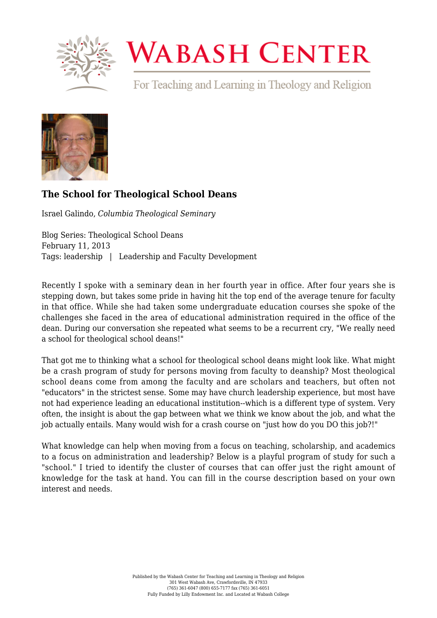

## **WABASH CENTER**

For Teaching and Learning in Theology and Religion



## **[The School for Theological School Deans](https://www.wabashcenter.wabash.edu/2013/02/the-school-for-theological-school-deans/)**

Israel Galindo, *Columbia Theological Seminary*

Blog Series: Theological School Deans February 11, 2013 Tags: leadership | Leadership and Faculty Development

Recently I spoke with a seminary dean in her fourth year in office. After four years she is stepping down, but takes some pride in having hit the top end of the average tenure for faculty in that office. While she had taken some undergraduate education courses she spoke of the challenges she faced in the area of educational administration required in the office of the dean. During our conversation she repeated what seems to be a recurrent cry, "We really need a school for theological school deans!"

That got me to thinking what a school for theological school deans might look like. What might be a crash program of study for persons moving from faculty to deanship? Most theological school deans come from among the faculty and are scholars and teachers, but often not "educators" in the strictest sense. Some may have church leadership experience, but most have not had experience leading an educational institution--which is a different type of system. Very often, the insight is about the gap between what we think we know about the job, and what the job actually entails. Many would wish for a crash course on "just how do you DO this job?!"

What knowledge can help when moving from a focus on teaching, scholarship, and academics to a focus on administration and leadership? Below is a playful program of study for such a "school." I tried to identify the cluster of courses that can offer just the right amount of knowledge for the task at hand. You can fill in the course description based on your own interest and needs.